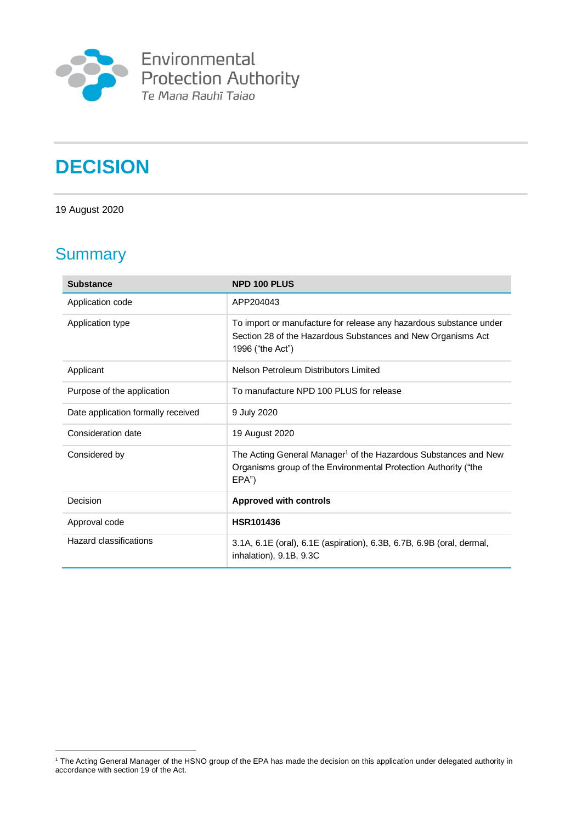

# **DECISION**

19 August 2020

# **Summary**

<u>.</u>

| <b>Substance</b>                   | <b>NPD 100 PLUS</b>                                                                                                                                     |
|------------------------------------|---------------------------------------------------------------------------------------------------------------------------------------------------------|
| Application code                   | APP204043                                                                                                                                               |
| Application type                   | To import or manufacture for release any hazardous substance under<br>Section 28 of the Hazardous Substances and New Organisms Act<br>1996 ("the Act")  |
| Applicant                          | Nelson Petroleum Distributors Limited                                                                                                                   |
| Purpose of the application         | To manufacture NPD 100 PLUS for release                                                                                                                 |
| Date application formally received | 9 July 2020                                                                                                                                             |
| Consideration date                 | 19 August 2020                                                                                                                                          |
| Considered by                      | The Acting General Manager <sup>1</sup> of the Hazardous Substances and New<br>Organisms group of the Environmental Protection Authority ("the<br>EPA") |
| Decision                           | <b>Approved with controls</b>                                                                                                                           |
| Approval code                      | HSR101436                                                                                                                                               |
| Hazard classifications             | 3.1A, 6.1E (oral), 6.1E (aspiration), 6.3B, 6.7B, 6.9B (oral, dermal,<br>inhalation), 9.1B, 9.3C                                                        |

<sup>1</sup> The Acting General Manager of the HSNO group of the EPA has made the decision on this application under delegated authority in accordance with section 19 of the Act.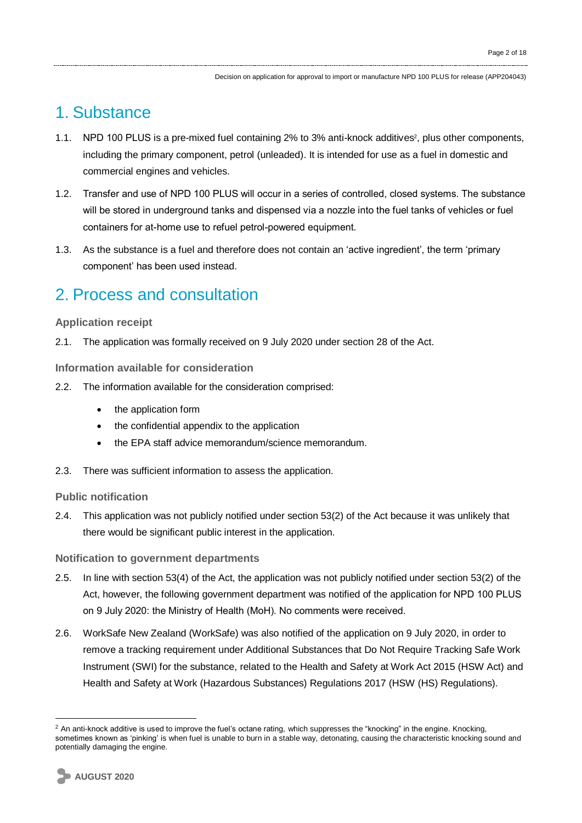## 1. Substance

- 1.1. NPD 100 PLUS is a pre-mixed fuel containing 2% to 3% anti-knock additives<sup>2</sup>, plus other components, including the primary component, petrol (unleaded). It is intended for use as a fuel in domestic and commercial engines and vehicles.
- 1.2. Transfer and use of NPD 100 PLUS will occur in a series of controlled, closed systems. The substance will be stored in underground tanks and dispensed via a nozzle into the fuel tanks of vehicles or fuel containers for at-home use to refuel petrol-powered equipment.
- 1.3. As the substance is a fuel and therefore does not contain an 'active ingredient', the term 'primary component' has been used instead.

# 2. Process and consultation

#### **Application receipt**

2.1. The application was formally received on 9 July 2020 under section 28 of the Act.

**Information available for consideration**

- 2.2. The information available for the consideration comprised:
	- the application form
	- the confidential appendix to the application
	- the EPA staff advice memorandum/science memorandum.
- 2.3. There was sufficient information to assess the application.

#### **Public notification**

2.4. This application was not publicly notified under section 53(2) of the Act because it was unlikely that there would be significant public interest in the application.

#### **Notification to government departments**

- 2.5. In line with section 53(4) of the Act, the application was not publicly notified under section 53(2) of the Act, however, the following government department was notified of the application for NPD 100 PLUS on 9 July 2020: the Ministry of Health (MoH). No comments were received.
- 2.6. WorkSafe New Zealand (WorkSafe) was also notified of the application on 9 July 2020, in order to remove a tracking requirement under Additional Substances that Do Not Require Tracking Safe Work Instrument (SWI) for the substance, related to the Health and Safety at Work Act 2015 (HSW Act) and Health and Safety at Work (Hazardous Substances) Regulations 2017 (HSW (HS) Regulations).

<sup>&</sup>lt;u>.</u>  $<sup>2</sup>$  An anti-knock additive is used to improve the fuel's octane rating, which suppresses the "knocking" in the engine. Knocking,</sup> sometimes known as 'pinking' is when fuel is unable to burn in a stable way, detonating, causing the characteristic knocking sound and potentially damaging the engine.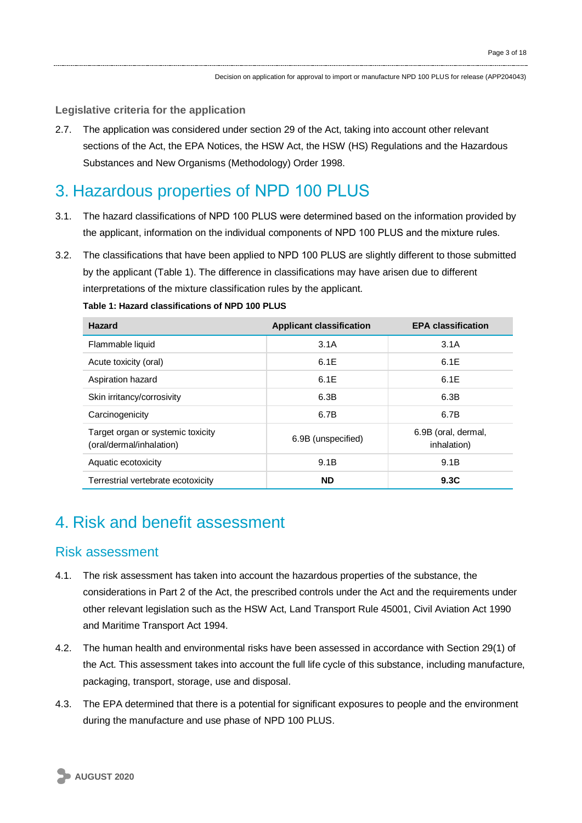#### **Legislative criteria for the application**

2.7. The application was considered under section 29 of the Act, taking into account other relevant sections of the Act, the EPA Notices, the HSW Act, the HSW (HS) Regulations and the Hazardous Substances and New Organisms (Methodology) Order 1998.

## 3. Hazardous properties of NPD 100 PLUS

- 3.1. The hazard classifications of NPD 100 PLUS were determined based on the information provided by the applicant, information on the individual components of NPD 100 PLUS and the mixture rules.
- 3.2. The classifications that have been applied to NPD 100 PLUS are slightly different to those submitted by the applicant (Table 1). The difference in classifications may have arisen due to different interpretations of the mixture classification rules by the applicant.

#### **Table 1: Hazard classifications of NPD 100 PLUS**

| Hazard                                                        | <b>Applicant classification</b> | <b>EPA classification</b>          |
|---------------------------------------------------------------|---------------------------------|------------------------------------|
| Flammable liquid                                              | 3.1A                            | 3.1A                               |
| Acute toxicity (oral)                                         | 6.1E                            | 6.1E                               |
| Aspiration hazard                                             | 6.1E                            | 6.1E                               |
| Skin irritancy/corrosivity                                    | 6.3B                            | 6.3B                               |
| Carcinogenicity                                               | 6.7B                            | 6.7B                               |
| Target organ or systemic toxicity<br>(oral/dermal/inhalation) | 6.9B (unspecified)              | 6.9B (oral, dermal,<br>inhalation) |
| Aquatic ecotoxicity                                           | 9.1B                            | 9.1B                               |
| Terrestrial vertebrate ecotoxicity                            | <b>ND</b>                       | 9.3C                               |

### 4. Risk and benefit assessment

#### Risk assessment

- 4.1. The risk assessment has taken into account the hazardous properties of the substance, the considerations in Part 2 of the Act, the prescribed controls under the Act and the requirements under other relevant legislation such as the HSW Act, Land Transport Rule 45001, Civil Aviation Act 1990 and Maritime Transport Act 1994.
- 4.2. The human health and environmental risks have been assessed in accordance with Section 29(1) of the Act. This assessment takes into account the full life cycle of this substance, including manufacture, packaging, transport, storage, use and disposal.
- 4.3. The EPA determined that there is a potential for significant exposures to people and the environment during the manufacture and use phase of NPD 100 PLUS.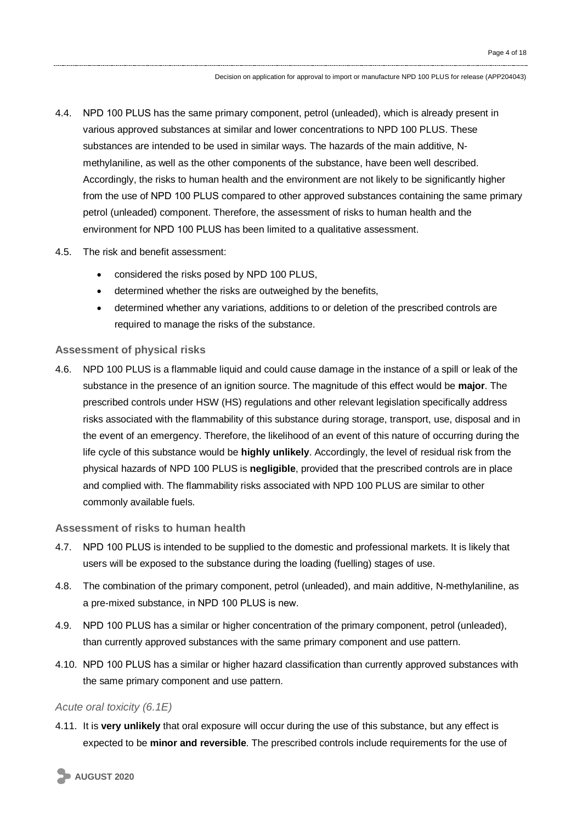- 4.4. NPD 100 PLUS has the same primary component, petrol (unleaded), which is already present in various approved substances at similar and lower concentrations to NPD 100 PLUS. These substances are intended to be used in similar ways. The hazards of the main additive, Nmethylaniline, as well as the other components of the substance, have been well described. Accordingly, the risks to human health and the environment are not likely to be significantly higher from the use of NPD 100 PLUS compared to other approved substances containing the same primary petrol (unleaded) component. Therefore, the assessment of risks to human health and the environment for NPD 100 PLUS has been limited to a qualitative assessment.
- 4.5. The risk and benefit assessment:
	- considered the risks posed by NPD 100 PLUS,
	- determined whether the risks are outweighed by the benefits,
	- determined whether any variations, additions to or deletion of the prescribed controls are required to manage the risks of the substance.

#### **Assessment of physical risks**

4.6. NPD 100 PLUS is a flammable liquid and could cause damage in the instance of a spill or leak of the substance in the presence of an ignition source. The magnitude of this effect would be **major**. The prescribed controls under HSW (HS) regulations and other relevant legislation specifically address risks associated with the flammability of this substance during storage, transport, use, disposal and in the event of an emergency. Therefore, the likelihood of an event of this nature of occurring during the life cycle of this substance would be **highly unlikely**. Accordingly, the level of residual risk from the physical hazards of NPD 100 PLUS is **negligible**, provided that the prescribed controls are in place and complied with. The flammability risks associated with NPD 100 PLUS are similar to other commonly available fuels.

#### **Assessment of risks to human health**

- 4.7. NPD 100 PLUS is intended to be supplied to the domestic and professional markets. It is likely that users will be exposed to the substance during the loading (fuelling) stages of use.
- 4.8. The combination of the primary component, petrol (unleaded), and main additive, N-methylaniline, as a pre-mixed substance, in NPD 100 PLUS is new.
- 4.9. NPD 100 PLUS has a similar or higher concentration of the primary component, petrol (unleaded), than currently approved substances with the same primary component and use pattern.
- 4.10. NPD 100 PLUS has a similar or higher hazard classification than currently approved substances with the same primary component and use pattern.

#### *Acute oral toxicity (6.1E)*

4.11. It is **very unlikely** that oral exposure will occur during the use of this substance, but any effect is expected to be **minor and reversible**. The prescribed controls include requirements for the use of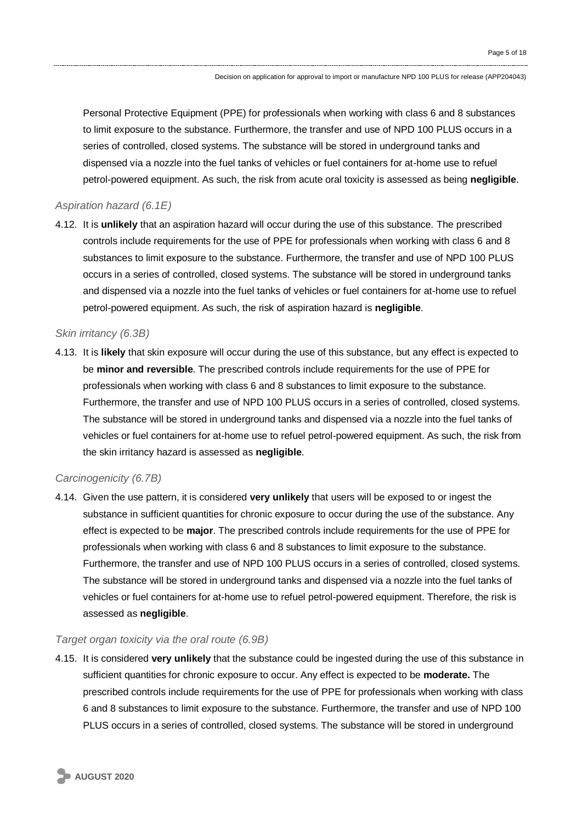Personal Protective Equipment (PPE) for professionals when working with class 6 and 8 substances to limit exposure to the substance. Furthermore, the transfer and use of NPD 100 PLUS occurs in a series of controlled, closed systems. The substance will be stored in underground tanks and dispensed via a nozzle into the fuel tanks of vehicles or fuel containers for at-home use to refuel petrol-powered equipment. As such, the risk from acute oral toxicity is assessed as being **negligible**.

#### *Aspiration hazard (6.1E)*

4.12. It is **unlikely** that an aspiration hazard will occur during the use of this substance. The prescribed controls include requirements for the use of PPE for professionals when working with class 6 and 8 substances to limit exposure to the substance. Furthermore, the transfer and use of NPD 100 PLUS occurs in a series of controlled, closed systems. The substance will be stored in underground tanks and dispensed via a nozzle into the fuel tanks of vehicles or fuel containers for at-home use to refuel petrol-powered equipment. As such, the risk of aspiration hazard is **negligible**.

#### *Skin irritancy (6.3B)*

4.13. It is **likely** that skin exposure will occur during the use of this substance, but any effect is expected to be **minor and reversible**. The prescribed controls include requirements for the use of PPE for professionals when working with class 6 and 8 substances to limit exposure to the substance. Furthermore, the transfer and use of NPD 100 PLUS occurs in a series of controlled, closed systems. The substance will be stored in underground tanks and dispensed via a nozzle into the fuel tanks of vehicles or fuel containers for at-home use to refuel petrol-powered equipment. As such, the risk from the skin irritancy hazard is assessed as **negligible**.

#### *Carcinogenicity (6.7B)*

4.14. Given the use pattern, it is considered **very unlikely** that users will be exposed to or ingest the substance in sufficient quantities for chronic exposure to occur during the use of the substance. Any effect is expected to be **major**. The prescribed controls include requirements for the use of PPE for professionals when working with class 6 and 8 substances to limit exposure to the substance. Furthermore, the transfer and use of NPD 100 PLUS occurs in a series of controlled, closed systems. The substance will be stored in underground tanks and dispensed via a nozzle into the fuel tanks of vehicles or fuel containers for at-home use to refuel petrol-powered equipment. Therefore, the risk is assessed as **negligible**.

#### *Target organ toxicity via the oral route (6.9B)*

4.15. It is considered **very unlikely** that the substance could be ingested during the use of this substance in sufficient quantities for chronic exposure to occur. Any effect is expected to be **moderate.** The prescribed controls include requirements for the use of PPE for professionals when working with class 6 and 8 substances to limit exposure to the substance. Furthermore, the transfer and use of NPD 100 PLUS occurs in a series of controlled, closed systems. The substance will be stored in underground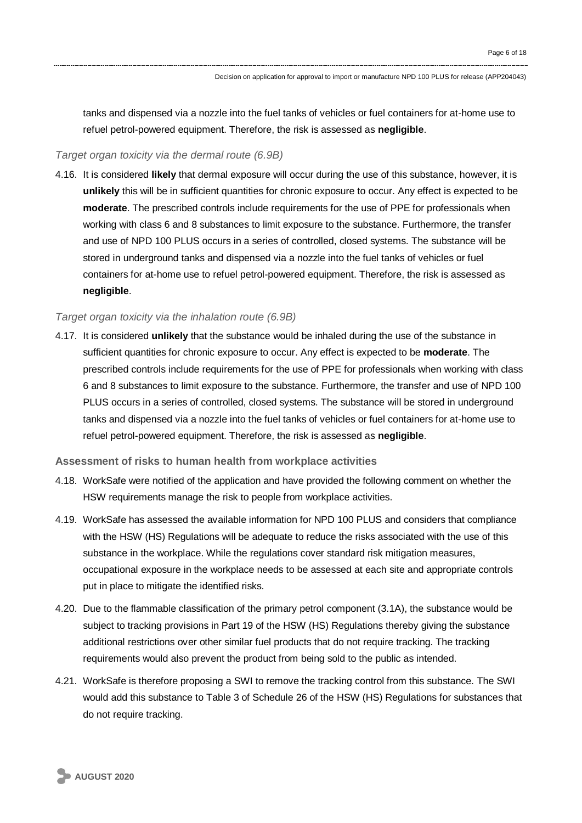tanks and dispensed via a nozzle into the fuel tanks of vehicles or fuel containers for at-home use to refuel petrol-powered equipment. Therefore, the risk is assessed as **negligible**.

#### *Target organ toxicity via the dermal route (6.9B)*

4.16. It is considered **likely** that dermal exposure will occur during the use of this substance, however, it is **unlikely** this will be in sufficient quantities for chronic exposure to occur. Any effect is expected to be **moderate**. The prescribed controls include requirements for the use of PPE for professionals when working with class 6 and 8 substances to limit exposure to the substance. Furthermore, the transfer and use of NPD 100 PLUS occurs in a series of controlled, closed systems. The substance will be stored in underground tanks and dispensed via a nozzle into the fuel tanks of vehicles or fuel containers for at-home use to refuel petrol-powered equipment. Therefore, the risk is assessed as **negligible**.

#### *Target organ toxicity via the inhalation route (6.9B)*

4.17. It is considered **unlikely** that the substance would be inhaled during the use of the substance in sufficient quantities for chronic exposure to occur. Any effect is expected to be **moderate**. The prescribed controls include requirements for the use of PPE for professionals when working with class 6 and 8 substances to limit exposure to the substance. Furthermore, the transfer and use of NPD 100 PLUS occurs in a series of controlled, closed systems. The substance will be stored in underground tanks and dispensed via a nozzle into the fuel tanks of vehicles or fuel containers for at-home use to refuel petrol-powered equipment. Therefore, the risk is assessed as **negligible**.

#### **Assessment of risks to human health from workplace activities**

- 4.18. WorkSafe were notified of the application and have provided the following comment on whether the HSW requirements manage the risk to people from workplace activities.
- 4.19. WorkSafe has assessed the available information for NPD 100 PLUS and considers that compliance with the HSW (HS) Regulations will be adequate to reduce the risks associated with the use of this substance in the workplace. While the regulations cover standard risk mitigation measures, occupational exposure in the workplace needs to be assessed at each site and appropriate controls put in place to mitigate the identified risks.
- 4.20. Due to the flammable classification of the primary petrol component (3.1A), the substance would be subject to tracking provisions in Part 19 of the HSW (HS) Regulations thereby giving the substance additional restrictions over other similar fuel products that do not require tracking. The tracking requirements would also prevent the product from being sold to the public as intended.
- 4.21. WorkSafe is therefore proposing a SWI to remove the tracking control from this substance. The SWI would add this substance to Table 3 of Schedule 26 of the HSW (HS) Regulations for substances that do not require tracking.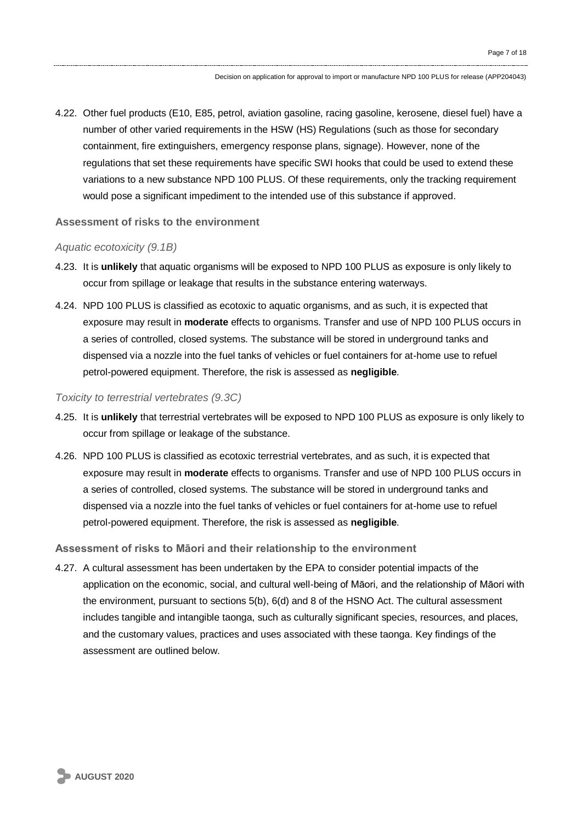4.22. Other fuel products (E10, E85, petrol, aviation gasoline, racing gasoline, kerosene, diesel fuel) have a number of other varied requirements in the HSW (HS) Regulations (such as those for secondary containment, fire extinguishers, emergency response plans, signage). However, none of the regulations that set these requirements have specific SWI hooks that could be used to extend these variations to a new substance NPD 100 PLUS. Of these requirements, only the tracking requirement would pose a significant impediment to the intended use of this substance if approved.

#### **Assessment of risks to the environment**

#### *Aquatic ecotoxicity (9.1B)*

- 4.23. It is **unlikely** that aquatic organisms will be exposed to NPD 100 PLUS as exposure is only likely to occur from spillage or leakage that results in the substance entering waterways.
- 4.24. NPD 100 PLUS is classified as ecotoxic to aquatic organisms, and as such, it is expected that exposure may result in **moderate** effects to organisms. Transfer and use of NPD 100 PLUS occurs in a series of controlled, closed systems. The substance will be stored in underground tanks and dispensed via a nozzle into the fuel tanks of vehicles or fuel containers for at-home use to refuel petrol-powered equipment. Therefore, the risk is assessed as **negligible**.

#### *Toxicity to terrestrial vertebrates (9.3C)*

- 4.25. It is **unlikely** that terrestrial vertebrates will be exposed to NPD 100 PLUS as exposure is only likely to occur from spillage or leakage of the substance.
- 4.26. NPD 100 PLUS is classified as ecotoxic terrestrial vertebrates, and as such, it is expected that exposure may result in **moderate** effects to organisms. Transfer and use of NPD 100 PLUS occurs in a series of controlled, closed systems. The substance will be stored in underground tanks and dispensed via a nozzle into the fuel tanks of vehicles or fuel containers for at-home use to refuel petrol-powered equipment. Therefore, the risk is assessed as **negligible**.

#### **Assessment of risks to Māori and their relationship to the environment**

4.27. A cultural assessment has been undertaken by the EPA to consider potential impacts of the application on the economic, social, and cultural well-being of Māori, and the relationship of Māori with the environment, pursuant to sections 5(b), 6(d) and 8 of the HSNO Act. The cultural assessment includes tangible and intangible taonga, such as culturally significant species, resources, and places, and the customary values, practices and uses associated with these taonga. Key findings of the assessment are outlined below.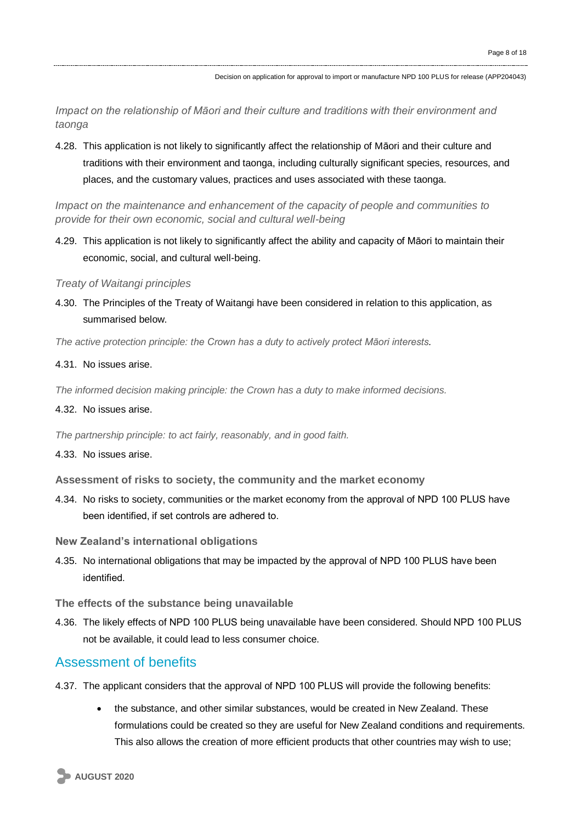*Impact on the relationship of Māori and their culture and traditions with their environment and taonga*

4.28. This application is not likely to significantly affect the relationship of Māori and their culture and traditions with their environment and taonga, including culturally significant species, resources, and places, and the customary values, practices and uses associated with these taonga.

*Impact on the maintenance and enhancement of the capacity of people and communities to provide for their own economic, social and cultural well-being*

4.29. This application is not likely to significantly affect the ability and capacity of Māori to maintain their economic, social, and cultural well-being.

*Treaty of Waitangi principles*

4.30. The Principles of the Treaty of Waitangi have been considered in relation to this application, as summarised below.

*The active protection principle: the Crown has a duty to actively protect Māori interests.*

4.31. No issues arise.

*The informed decision making principle: the Crown has a duty to make informed decisions.*

4.32. No issues arise.

*The partnership principle: to act fairly, reasonably, and in good faith.*

4.33. No issues arise.

**Assessment of risks to society, the community and the market economy**

- 4.34. No risks to society, communities or the market economy from the approval of NPD 100 PLUS have been identified, if set controls are adhered to.
- **New Zealand's international obligations**
- 4.35. No international obligations that may be impacted by the approval of NPD 100 PLUS have been identified.

**The effects of the substance being unavailable**

4.36. The likely effects of NPD 100 PLUS being unavailable have been considered. Should NPD 100 PLUS not be available, it could lead to less consumer choice.

#### Assessment of benefits

- 4.37. The applicant considers that the approval of NPD 100 PLUS will provide the following benefits:
	- the substance, and other similar substances, would be created in New Zealand. These formulations could be created so they are useful for New Zealand conditions and requirements. This also allows the creation of more efficient products that other countries may wish to use;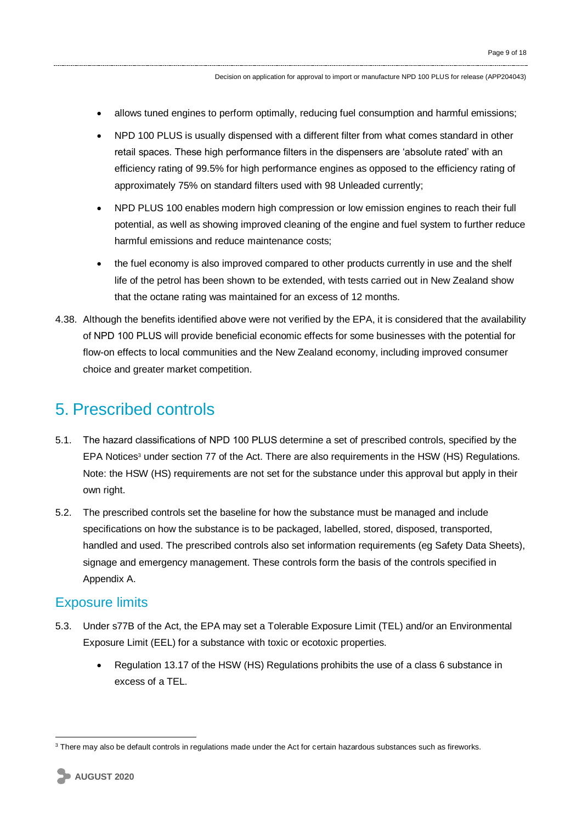- allows tuned engines to perform optimally, reducing fuel consumption and harmful emissions;
- NPD 100 PLUS is usually dispensed with a different filter from what comes standard in other retail spaces. These high performance filters in the dispensers are 'absolute rated' with an efficiency rating of 99.5% for high performance engines as opposed to the efficiency rating of approximately 75% on standard filters used with 98 Unleaded currently;
- NPD PLUS 100 enables modern high compression or low emission engines to reach their full potential, as well as showing improved cleaning of the engine and fuel system to further reduce harmful emissions and reduce maintenance costs;
- the fuel economy is also improved compared to other products currently in use and the shelf life of the petrol has been shown to be extended, with tests carried out in New Zealand show that the octane rating was maintained for an excess of 12 months.
- 4.38. Although the benefits identified above were not verified by the EPA, it is considered that the availability of NPD 100 PLUS will provide beneficial economic effects for some businesses with the potential for flow-on effects to local communities and the New Zealand economy, including improved consumer choice and greater market competition.

### 5. Prescribed controls

- 5.1. The hazard classifications of NPD 100 PLUS determine a set of prescribed controls, specified by the EPA Notices<sup>3</sup> under section 77 of the Act. There are also requirements in the HSW (HS) Regulations. Note: the HSW (HS) requirements are not set for the substance under this approval but apply in their own right.
- 5.2. The prescribed controls set the baseline for how the substance must be managed and include specifications on how the substance is to be packaged, labelled, stored, disposed, transported, handled and used. The prescribed controls also set information requirements (eg Safety Data Sheets), signage and emergency management. These controls form the basis of the controls specified in Appendix A.

#### Exposure limits

- 5.3. Under s77B of the Act, the EPA may set a Tolerable Exposure Limit (TEL) and/or an Environmental Exposure Limit (EEL) for a substance with toxic or ecotoxic properties.
	- Regulation 13.17 of the HSW (HS) Regulations prohibits the use of a class 6 substance in excess of a TEL.

1

 $3$  There mav also be default controls in regulations made under the Act for certain hazardous substances such as fireworks.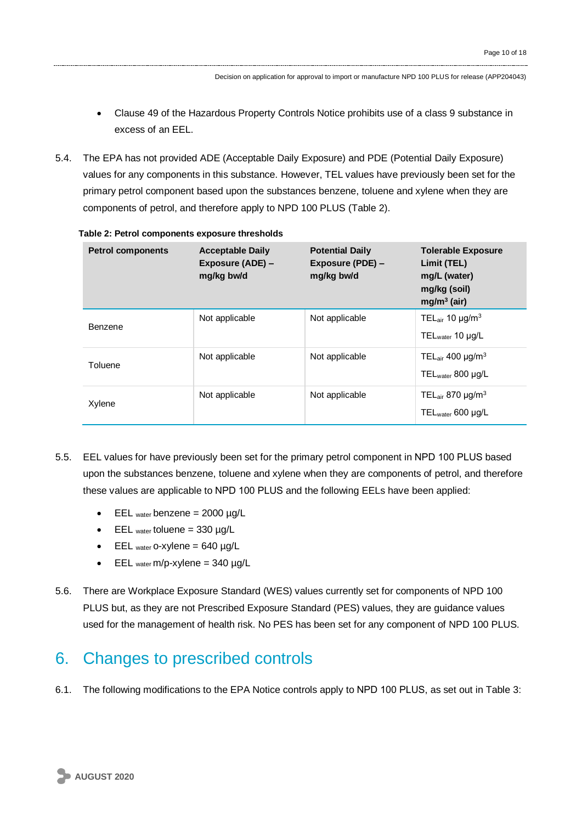- Clause 49 of the Hazardous Property Controls Notice prohibits use of a class 9 substance in excess of an EEL.
- 5.4. The EPA has not provided ADE (Acceptable Daily Exposure) and PDE (Potential Daily Exposure) values for any components in this substance. However, TEL values have previously been set for the primary petrol component based upon the substances benzene, toluene and xylene when they are components of petrol, and therefore apply to NPD 100 PLUS (Table 2).

| <b>Petrol components</b> | <b>Acceptable Daily</b><br>Exposure (ADE) -<br>mg/kg bw/d | <b>Potential Daily</b><br>Exposure (PDE) -<br>mg/kg bw/d | <b>Tolerable Exposure</b><br>Limit (TEL)<br>mg/L (water)<br>mg/kg (soil)<br>$mg/m3$ (air) |
|--------------------------|-----------------------------------------------------------|----------------------------------------------------------|-------------------------------------------------------------------------------------------|
| Benzene                  | Not applicable                                            | Not applicable                                           | TELair 10 $\mu$ g/m <sup>3</sup><br>$TEL_{water}$ 10 $\mu$ g/L                            |
| Toluene                  | Not applicable                                            | Not applicable                                           | TELair 400 $\mu$ g/m <sup>3</sup><br>$TEL_{water}$ 800 µg/L                               |
| Xylene                   | Not applicable                                            | Not applicable                                           | TELair 870 $\mu$ g/m <sup>3</sup><br>$TEL_{water}$ 600 µg/L                               |

|  |  | Table 2: Petrol components exposure thresholds |  |  |
|--|--|------------------------------------------------|--|--|
|--|--|------------------------------------------------|--|--|

- 5.5. EEL values for have previously been set for the primary petrol component in NPD 100 PLUS based upon the substances benzene, toluene and xylene when they are components of petrol, and therefore these values are applicable to NPD 100 PLUS and the following EELs have been applied:
	- $\bullet$  EEL water benzene = 2000 µg/L
	- $\bullet$  EEL water toluene = 330 µg/L
	- $\bullet$  EEL water o-xylene = 640 µg/L
	- $\bullet$  EEL <sub>water</sub> m/p-xylene = 340  $\mu$ g/L
- 5.6. There are Workplace Exposure Standard (WES) values currently set for components of NPD 100 PLUS but, as they are not Prescribed Exposure Standard (PES) values, they are guidance values used for the management of health risk. No PES has been set for any component of NPD 100 PLUS.

### 6. Changes to prescribed controls

6.1. The following modifications to the EPA Notice controls apply to NPD 100 PLUS, as set out in Table 3: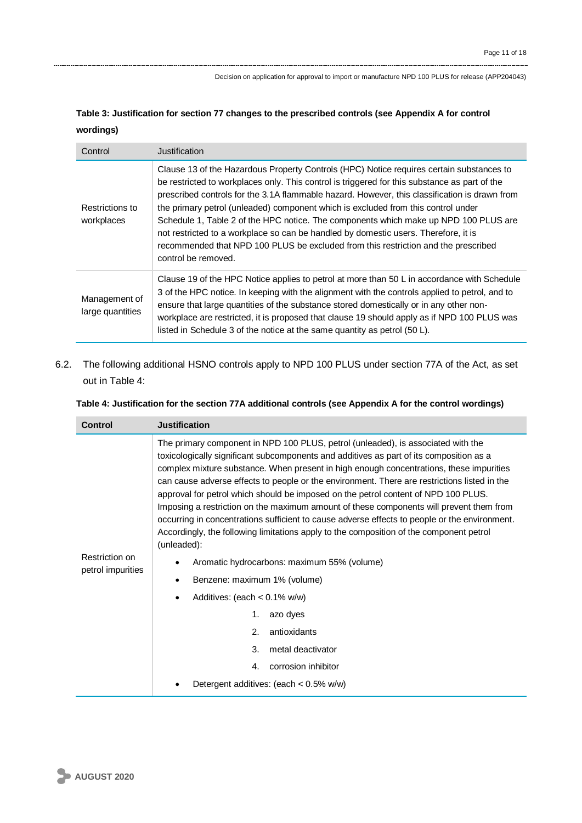| Table 3: Justification for section 77 changes to the prescribed controls (see Appendix A for control |  |
|------------------------------------------------------------------------------------------------------|--|
| wordings)                                                                                            |  |

| Control                           | Justification                                                                                                                                                                                                                                                                                                                                                                                                                                                                                                                                                                                                                                                               |
|-----------------------------------|-----------------------------------------------------------------------------------------------------------------------------------------------------------------------------------------------------------------------------------------------------------------------------------------------------------------------------------------------------------------------------------------------------------------------------------------------------------------------------------------------------------------------------------------------------------------------------------------------------------------------------------------------------------------------------|
| Restrictions to<br>workplaces     | Clause 13 of the Hazardous Property Controls (HPC) Notice requires certain substances to<br>be restricted to workplaces only. This control is triggered for this substance as part of the<br>prescribed controls for the 3.1A flammable hazard. However, this classification is drawn from<br>the primary petrol (unleaded) component which is excluded from this control under<br>Schedule 1, Table 2 of the HPC notice. The components which make up NPD 100 PLUS are<br>not restricted to a workplace so can be handled by domestic users. Therefore, it is<br>recommended that NPD 100 PLUS be excluded from this restriction and the prescribed<br>control be removed. |
| Management of<br>large quantities | Clause 19 of the HPC Notice applies to petrol at more than 50 L in accordance with Schedule<br>3 of the HPC notice. In keeping with the alignment with the controls applied to petrol, and to<br>ensure that large quantities of the substance stored domestically or in any other non-<br>workplace are restricted, it is proposed that clause 19 should apply as if NPD 100 PLUS was<br>listed in Schedule 3 of the notice at the same quantity as petrol (50 L).                                                                                                                                                                                                         |

6.2. The following additional HSNO controls apply to NPD 100 PLUS under section 77A of the Act, as set out in Table 4:

#### **Table 4: Justification for the section 77A additional controls (see Appendix A for the control wordings)**

| <b>Control</b>                      | <b>Justification</b>                                                                                                                                                                                                                                                                                                                                                                                                                                                                                                                                                                                                                                                                                                                                                                                                                                                                                                                                                                                                                                     |
|-------------------------------------|----------------------------------------------------------------------------------------------------------------------------------------------------------------------------------------------------------------------------------------------------------------------------------------------------------------------------------------------------------------------------------------------------------------------------------------------------------------------------------------------------------------------------------------------------------------------------------------------------------------------------------------------------------------------------------------------------------------------------------------------------------------------------------------------------------------------------------------------------------------------------------------------------------------------------------------------------------------------------------------------------------------------------------------------------------|
| Restriction on<br>petrol impurities | The primary component in NPD 100 PLUS, petrol (unleaded), is associated with the<br>toxicologically significant subcomponents and additives as part of its composition as a<br>complex mixture substance. When present in high enough concentrations, these impurities<br>can cause adverse effects to people or the environment. There are restrictions listed in the<br>approval for petrol which should be imposed on the petrol content of NPD 100 PLUS.<br>Imposing a restriction on the maximum amount of these components will prevent them from<br>occurring in concentrations sufficient to cause adverse effects to people or the environment.<br>Accordingly, the following limitations apply to the composition of the component petrol<br>(unleaded):<br>Aromatic hydrocarbons: maximum 55% (volume)<br>Benzene: maximum 1% (volume)<br>$\bullet$<br>Additives: (each $< 0.1\%$ w/w)<br>$\bullet$<br>1.<br>azo dyes<br>2.<br>antioxidants<br>metal deactivator<br>3.<br>corrosion inhibitor<br>4.<br>Detergent additives: (each < 0.5% w/w) |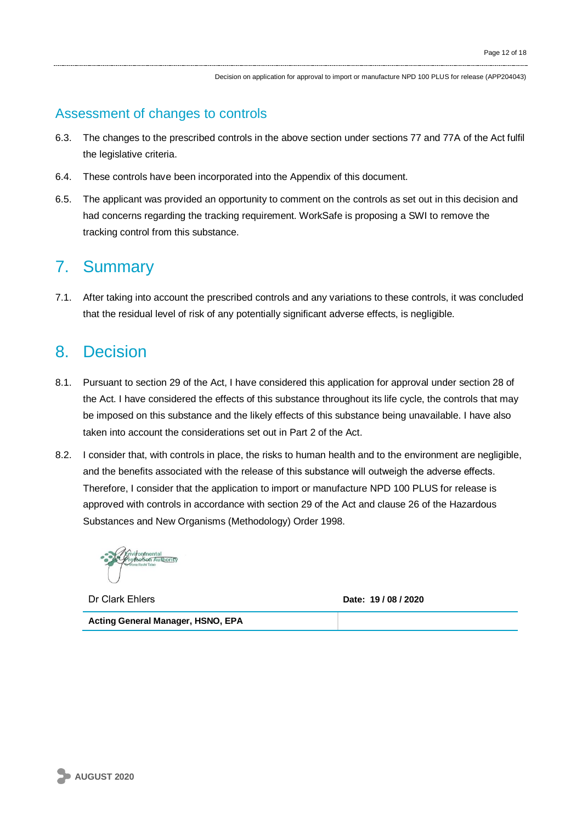### Assessment of changes to controls

- 6.3. The changes to the prescribed controls in the above section under sections 77 and 77A of the Act fulfil the legislative criteria.
- 6.4. These controls have been incorporated into the Appendix of this document.
- 6.5. The applicant was provided an opportunity to comment on the controls as set out in this decision and had concerns regarding the tracking requirement. WorkSafe is proposing a SWI to remove the tracking control from this substance.

# 7. Summary

7.1. After taking into account the prescribed controls and any variations to these controls, it was concluded that the residual level of risk of any potentially significant adverse effects, is negligible.

### 8. Decision

- 8.1. Pursuant to section 29 of the Act, I have considered this application for approval under section 28 of the Act. I have considered the effects of this substance throughout its life cycle, the controls that may be imposed on this substance and the likely effects of this substance being unavailable. I have also taken into account the considerations set out in Part 2 of the Act.
- 8.2. I consider that, with controls in place, the risks to human health and to the environment are negligible, and the benefits associated with the release of this substance will outweigh the adverse effects. Therefore, I consider that the application to import or manufacture NPD 100 PLUS for release is approved with controls in accordance with section 29 of the Act and clause 26 of the Hazardous Substances and New Organisms (Methodology) Order 1998.

Dr Clark Ehlers **Date: 19 / 08 / 2020**

**Acting General Manager, HSNO, EPA**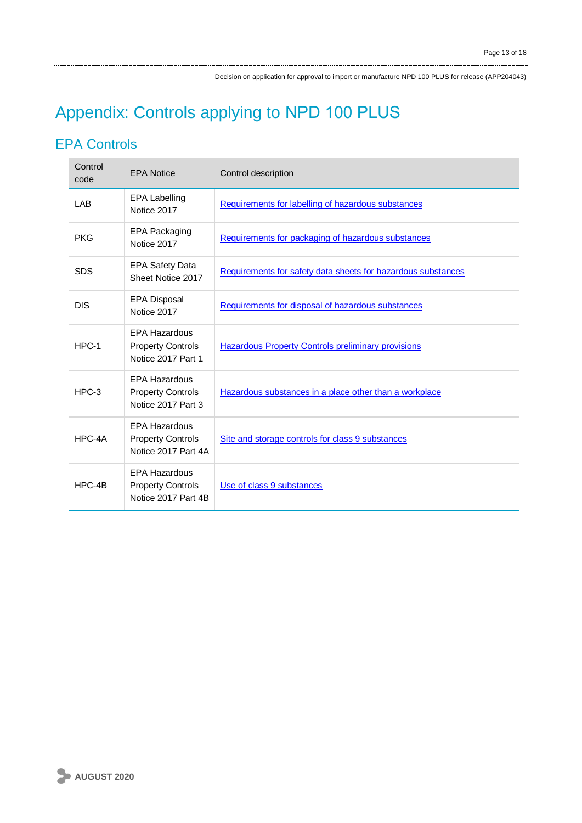# Appendix: Controls applying to NPD 100 PLUS

### EPA Controls

| Control<br>code | <b>EPA Notice</b>                                                       | Control description                                          |
|-----------------|-------------------------------------------------------------------------|--------------------------------------------------------------|
| LAB             | <b>EPA Labelling</b><br>Notice 2017                                     | Requirements for labelling of hazardous substances           |
| <b>PKG</b>      | EPA Packaging<br>Notice 2017                                            | Requirements for packaging of hazardous substances           |
| <b>SDS</b>      | <b>EPA Safety Data</b><br>Sheet Notice 2017                             | Requirements for safety data sheets for hazardous substances |
| <b>DIS</b>      | <b>EPA Disposal</b><br>Notice 2017                                      | Requirements for disposal of hazardous substances            |
| $HPC-1$         | <b>EPA Hazardous</b><br><b>Property Controls</b><br>Notice 2017 Part 1  | <b>Hazardous Property Controls preliminary provisions</b>    |
| $HPC-3$         | <b>EPA Hazardous</b><br><b>Property Controls</b><br>Notice 2017 Part 3  | Hazardous substances in a place other than a workplace       |
| HPC-4A          | <b>EPA Hazardous</b><br><b>Property Controls</b><br>Notice 2017 Part 4A | Site and storage controls for class 9 substances             |
| $HPC-4B$        | <b>EPA Hazardous</b><br><b>Property Controls</b><br>Notice 2017 Part 4B | Use of class 9 substances                                    |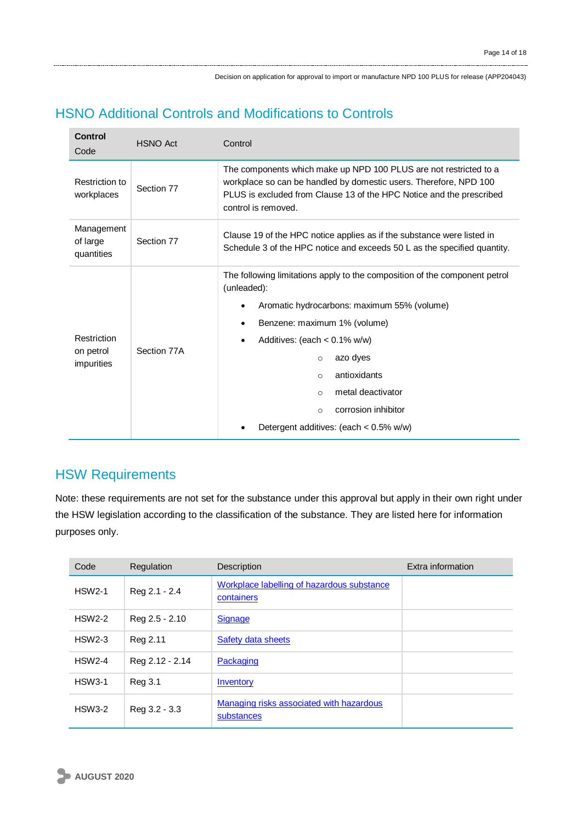### HSNO Additional Controls and Modifications to Controls

| <b>Control</b><br>Code                     | <b>HSNO Act</b> | Control                                                                                                                                                                                                                                                                                                                                                                   |  |  |
|--------------------------------------------|-----------------|---------------------------------------------------------------------------------------------------------------------------------------------------------------------------------------------------------------------------------------------------------------------------------------------------------------------------------------------------------------------------|--|--|
| Restriction to<br>Section 77<br>workplaces |                 | The components which make up NPD 100 PLUS are not restricted to a<br>workplace so can be handled by domestic users. Therefore, NPD 100<br>PLUS is excluded from Clause 13 of the HPC Notice and the prescribed<br>control is removed.                                                                                                                                     |  |  |
| Management<br>of large<br>quantities       | Section 77      | Clause 19 of the HPC notice applies as if the substance were listed in<br>Schedule 3 of the HPC notice and exceeds 50 L as the specified quantity.                                                                                                                                                                                                                        |  |  |
| Restriction<br>on petrol<br>impurities     | Section 77A     | The following limitations apply to the composition of the component petrol<br>(unleaded):<br>Aromatic hydrocarbons: maximum 55% (volume)<br>Benzene: maximum 1% (volume)<br>Additives: (each $< 0.1\%$ w/w)<br>azo dyes<br>$\circ$<br>antioxidants<br>$\circ$<br>metal deactivator<br>$\circ$<br>corrosion inhibitor<br>$\circ$<br>Detergent additives: (each < 0.5% w/w) |  |  |

### HSW Requirements

Note: these requirements are not set for the substance under this approval but apply in their own right under the HSW legislation according to the classification of the substance. They are listed here for information purposes only.

| Code          | Regulation      | Description                                              | Extra information |
|---------------|-----------------|----------------------------------------------------------|-------------------|
| <b>HSW2-1</b> | Reg 2.1 - 2.4   | Workplace labelling of hazardous substance<br>containers |                   |
| <b>HSW2-2</b> | Reg 2.5 - 2.10  | <b>Signage</b>                                           |                   |
| <b>HSW2-3</b> | Reg 2.11        | <b>Safety data sheets</b>                                |                   |
| <b>HSW2-4</b> | Reg 2.12 - 2.14 | Packaging                                                |                   |
| <b>HSW3-1</b> | Reg 3.1         | Inventory                                                |                   |
| <b>HSW3-2</b> | Reg 3.2 - 3.3   | Managing risks associated with hazardous<br>substances   |                   |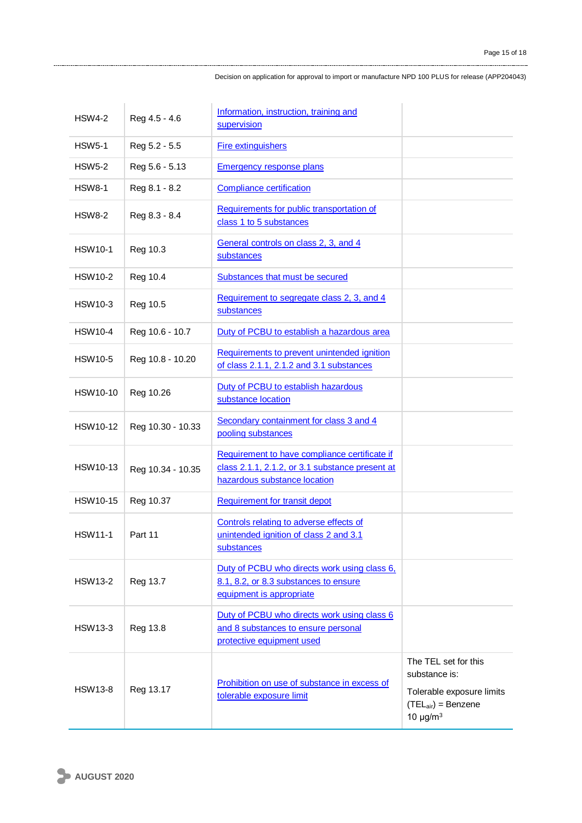| <b>HSW4-2</b>   | Reg 4.5 - 4.6     | Information, instruction, training and<br>supervision                                                                            |                                                                                                                                   |
|-----------------|-------------------|----------------------------------------------------------------------------------------------------------------------------------|-----------------------------------------------------------------------------------------------------------------------------------|
| <b>HSW5-1</b>   | Reg 5.2 - 5.5     | <b>Fire extinguishers</b>                                                                                                        |                                                                                                                                   |
| <b>HSW5-2</b>   | Reg 5.6 - 5.13    | Emergency response plans                                                                                                         |                                                                                                                                   |
| <b>HSW8-1</b>   | Reg 8.1 - 8.2     | <b>Compliance certification</b>                                                                                                  |                                                                                                                                   |
| <b>HSW8-2</b>   | Reg 8.3 - 8.4     | Requirements for public transportation of<br>class 1 to 5 substances                                                             |                                                                                                                                   |
| <b>HSW10-1</b>  | Reg 10.3          | General controls on class 2, 3, and 4<br>substances                                                                              |                                                                                                                                   |
| <b>HSW10-2</b>  | Reg 10.4          | Substances that must be secured                                                                                                  |                                                                                                                                   |
| <b>HSW10-3</b>  | Reg 10.5          | Requirement to segregate class 2, 3, and 4<br>substances                                                                         |                                                                                                                                   |
| <b>HSW10-4</b>  | Reg 10.6 - 10.7   | Duty of PCBU to establish a hazardous area                                                                                       |                                                                                                                                   |
| <b>HSW10-5</b>  | Reg 10.8 - 10.20  | Requirements to prevent unintended ignition<br>of class 2.1.1, 2.1.2 and 3.1 substances                                          |                                                                                                                                   |
| HSW10-10        | Reg 10.26         | Duty of PCBU to establish hazardous<br>substance location                                                                        |                                                                                                                                   |
| HSW10-12        | Reg 10.30 - 10.33 | Secondary containment for class 3 and 4<br>pooling substances                                                                    |                                                                                                                                   |
| <b>HSW10-13</b> | Reg 10.34 - 10.35 | Requirement to have compliance certificate if<br>class 2.1.1, 2.1.2, or 3.1 substance present at<br>hazardous substance location |                                                                                                                                   |
| <b>HSW10-15</b> | Reg 10.37         | <b>Requirement for transit depot</b>                                                                                             |                                                                                                                                   |
| <b>HSW11-1</b>  | Part 11           | Controls relating to adverse effects of<br>unintended ignition of class 2 and 3.1<br>substances                                  |                                                                                                                                   |
| <b>HSW13-2</b>  | Reg 13.7          | Duty of PCBU who directs work using class 6,<br>8.1, 8.2, or 8.3 substances to ensure<br>equipment is appropriate                |                                                                                                                                   |
| <b>HSW13-3</b>  | Reg 13.8          | Duty of PCBU who directs work using class 6<br>and 8 substances to ensure personal<br>protective equipment used                  |                                                                                                                                   |
| <b>HSW13-8</b>  | Reg 13.17         | Prohibition on use of substance in excess of<br>tolerable exposure limit                                                         | The TEL set for this<br>substance is:<br>Tolerable exposure limits<br>$(TEL_{air}) = \text{Benzene}$<br>10 $\mu$ g/m <sup>3</sup> |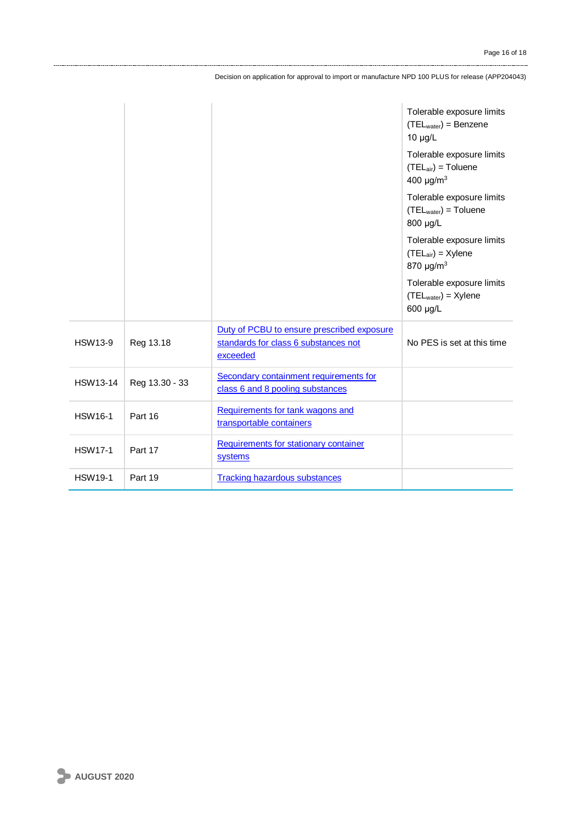|                 |                |                                                                                                | Tolerable exposure limits<br>$(TELwater) = Benzene$<br>$10 \mu g/L$                |
|-----------------|----------------|------------------------------------------------------------------------------------------------|------------------------------------------------------------------------------------|
|                 |                |                                                                                                | Tolerable exposure limits<br>$(TEL_{air}) = Toluene$<br>400 $\mu$ g/m <sup>3</sup> |
|                 |                |                                                                                                | Tolerable exposure limits<br>$(TELwater) = Toluene$<br>800 µg/L                    |
|                 |                |                                                                                                | Tolerable exposure limits<br>$(TEL_{air})$ = Xylene<br>870 $\mu$ g/m <sup>3</sup>  |
|                 |                |                                                                                                | Tolerable exposure limits<br>$(TELwater) = Xylene$<br>600 µg/L                     |
| <b>HSW13-9</b>  | Reg 13.18      | Duty of PCBU to ensure prescribed exposure<br>standards for class 6 substances not<br>exceeded | No PES is set at this time                                                         |
| <b>HSW13-14</b> | Reg 13.30 - 33 | Secondary containment requirements for<br>class 6 and 8 pooling substances                     |                                                                                    |
| <b>HSW16-1</b>  | Part 16        | Requirements for tank wagons and<br>transportable containers                                   |                                                                                    |
| <b>HSW17-1</b>  | Part 17        | Requirements for stationary container<br>systems                                               |                                                                                    |
| <b>HSW19-1</b>  | Part 19        | <b>Tracking hazardous substances</b>                                                           |                                                                                    |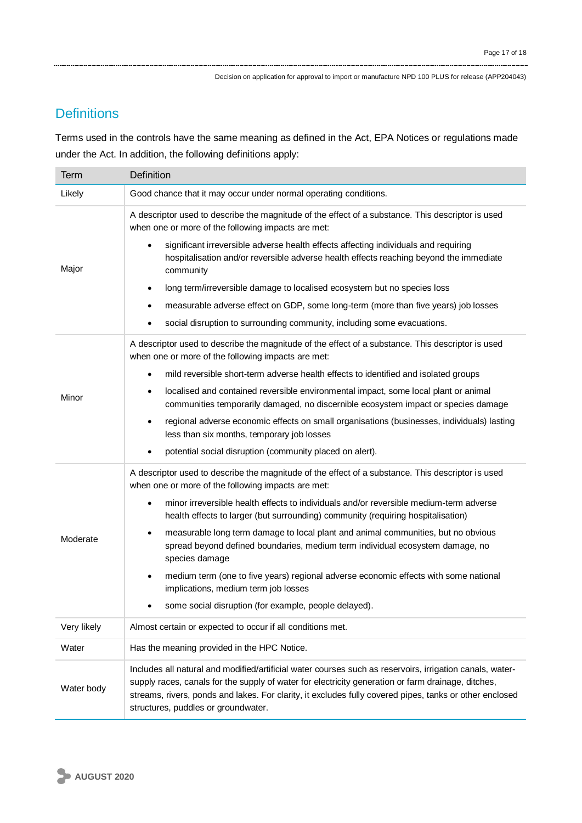### **Definitions**

Terms used in the controls have the same meaning as defined in the Act, EPA Notices or regulations made under the Act. In addition, the following definitions apply:

| Term        | Definition                                                                                                                                                                                                                                                                                                                                                       |
|-------------|------------------------------------------------------------------------------------------------------------------------------------------------------------------------------------------------------------------------------------------------------------------------------------------------------------------------------------------------------------------|
| Likely      | Good chance that it may occur under normal operating conditions.                                                                                                                                                                                                                                                                                                 |
| Major       | A descriptor used to describe the magnitude of the effect of a substance. This descriptor is used<br>when one or more of the following impacts are met:                                                                                                                                                                                                          |
|             | significant irreversible adverse health effects affecting individuals and requiring<br>hospitalisation and/or reversible adverse health effects reaching beyond the immediate<br>community                                                                                                                                                                       |
|             | long term/irreversible damage to localised ecosystem but no species loss<br>٠                                                                                                                                                                                                                                                                                    |
|             | measurable adverse effect on GDP, some long-term (more than five years) job losses                                                                                                                                                                                                                                                                               |
|             | social disruption to surrounding community, including some evacuations.<br>٠                                                                                                                                                                                                                                                                                     |
| Minor       | A descriptor used to describe the magnitude of the effect of a substance. This descriptor is used<br>when one or more of the following impacts are met:                                                                                                                                                                                                          |
|             | mild reversible short-term adverse health effects to identified and isolated groups<br>$\bullet$                                                                                                                                                                                                                                                                 |
|             | localised and contained reversible environmental impact, some local plant or animal<br>٠<br>communities temporarily damaged, no discernible ecosystem impact or species damage                                                                                                                                                                                   |
|             | regional adverse economic effects on small organisations (businesses, individuals) lasting<br>less than six months, temporary job losses                                                                                                                                                                                                                         |
|             | potential social disruption (community placed on alert).                                                                                                                                                                                                                                                                                                         |
| Moderate    | A descriptor used to describe the magnitude of the effect of a substance. This descriptor is used<br>when one or more of the following impacts are met:                                                                                                                                                                                                          |
|             | minor irreversible health effects to individuals and/or reversible medium-term adverse<br>$\bullet$<br>health effects to larger (but surrounding) community (requiring hospitalisation)                                                                                                                                                                          |
|             | measurable long term damage to local plant and animal communities, but no obvious<br>٠<br>spread beyond defined boundaries, medium term individual ecosystem damage, no<br>species damage                                                                                                                                                                        |
|             | medium term (one to five years) regional adverse economic effects with some national<br>$\bullet$<br>implications, medium term job losses                                                                                                                                                                                                                        |
|             | some social disruption (for example, people delayed).                                                                                                                                                                                                                                                                                                            |
| Very likely | Almost certain or expected to occur if all conditions met.                                                                                                                                                                                                                                                                                                       |
| Water       | Has the meaning provided in the HPC Notice.                                                                                                                                                                                                                                                                                                                      |
| Water body  | Includes all natural and modified/artificial water courses such as reservoirs, irrigation canals, water-<br>supply races, canals for the supply of water for electricity generation or farm drainage, ditches,<br>streams, rivers, ponds and lakes. For clarity, it excludes fully covered pipes, tanks or other enclosed<br>structures, puddles or groundwater. |